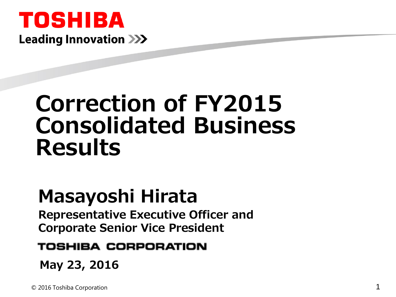## TOSHIBA **Leading Innovation >>>**

# **Correction of FY2015 Consolidated Business Results**

## **Masayoshi Hirata**

**Representative Executive Officer and Corporate Senior Vice President**

#### TOSHIBA CORPORATION

**May 23, 2016**

© 2016 Toshiba Corporation 1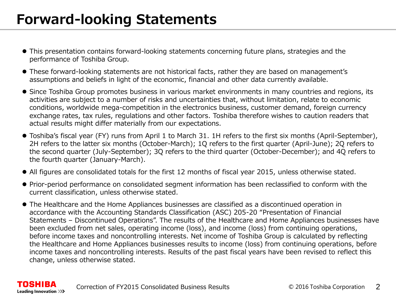- This presentation contains forward-looking statements concerning future plans, strategies and the performance of Toshiba Group.
- These forward-looking statements are not historical facts, rather they are based on management's assumptions and beliefs in light of the economic, financial and other data currently available.
- Since Toshiba Group promotes business in various market environments in many countries and regions, its activities are subject to a number of risks and uncertainties that, without limitation, relate to economic conditions, worldwide mega-competition in the electronics business, customer demand, foreign currency exchange rates, tax rules, regulations and other factors. Toshiba therefore wishes to caution readers that actual results might differ materially from our expectations.
- Toshiba's fiscal year (FY) runs from April 1 to March 31. 1H refers to the first six months (April-September), 2H refers to the latter six months (October-March); 1Q refers to the first quarter (April-June); 2Q refers to the second quarter (July-September); 3Q refers to the third quarter (October-December); and 4Q refers to the fourth quarter (January-March).
- All figures are consolidated totals for the first 12 months of fiscal year 2015, unless otherwise stated.
- Prior-period performance on consolidated segment information has been reclassified to conform with the current classification, unless otherwise stated.
- The Healthcare and the Home Appliances businesses are classified as a discontinued operation in accordance with the Accounting Standards Classification (ASC) 205-20 "Presentation of Financial Statements – Discontinued Operations". The results of the Healthcare and Home Appliances businesses have been excluded from net sales, operating income (loss), and income (loss) from continuing operations, before income taxes and noncontrolling interests. Net income of Toshiba Group is calculated by reflecting the Healthcare and Home Appliances businesses results to income (loss) from continuing operations, before income taxes and noncontrolling interests. Results of the past fiscal years have been revised to reflect this change, unless otherwise stated.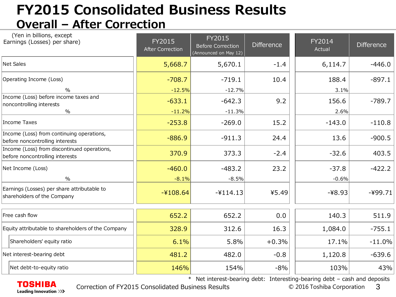## **FY2015 Consolidated Business Results Overall – After Correction**

| (Yen in billions, except<br>Earnings (Losses) per share)                       | FY2015<br><b>After Correction</b> | FY2015<br><b>Before Correction</b><br>(Announced on May 12) | <b>Difference</b> | FY2014<br>Actual   | <b>Difference</b> |
|--------------------------------------------------------------------------------|-----------------------------------|-------------------------------------------------------------|-------------------|--------------------|-------------------|
| Net Sales                                                                      | 5,668.7                           | 5,670.1                                                     | $-1.4$            | 6,114.7            | $-446.0$          |
| Operating Income (Loss)<br>$\frac{0}{0}$                                       | $-708.7$<br>$-12.5%$              | $-719.1$<br>$-12.7%$                                        | 10.4              | 188.4<br>3.1%      | $-897.1$          |
| Income (Loss) before income taxes and<br>noncontrolling interests<br>$\%$      | $-633.1$<br>$-11.2%$              | $-642.3$<br>$-11.3%$                                        | 9.2               | 156.6<br>2.6%      | $-789.7$          |
| Income Taxes                                                                   | $-253.8$                          | $-269.0$                                                    | 15.2              | $-143.0$           | $-110.8$          |
| Income (Loss) from continuing operations,<br>before noncontrolling interests   | $-886.9$                          | $-911.3$                                                    | 24.4              | 13.6               | $-900.5$          |
| Income (Loss) from discontinued operations,<br>before noncontrolling interests | 370.9                             | 373.3                                                       | $-2.4$            | $-32.6$            | 403.5             |
| Net Income (Loss)<br>$\frac{0}{0}$                                             | $-460.0$<br>$-8.1%$               | $-483.2$<br>$-8.5%$                                         | 23.2              | $-37.8$<br>$-0.6%$ | $-422.2$          |
| Earnings (Losses) per share attributable to<br>shareholders of the Company     | $-4108.64$                        | $-4114.13$                                                  | ¥5.49             | $-48.93$           | $-499.71$         |
| Free cash flow                                                                 | 652.2                             | 652.2                                                       | 0.0               | 140.3              | 511.9             |
| Equity attributable to shareholders of the Company                             | 328.9                             | 312.6                                                       | 16.3              | 1,084.0            | $-755.1$          |
| Shareholders' equity ratio                                                     | 6.1%                              | 5.8%                                                        | $+0.3%$           | 17.1%              | $-11.0%$          |
| Net interest-bearing debt                                                      | 481.2                             | 482.0                                                       | $-0.8$            | 1,120.8            | $-639.6$          |
| Net debt-to-equity ratio                                                       | 146%                              | 154%                                                        | $-8%$             | 103%               | 43%               |

\* Net interest-bearing debt: Interesting-bearing debt – cash and deposits

**TOSHIBA** Leading Innovation >>>

Correction of FY2015 Consolidated Business Results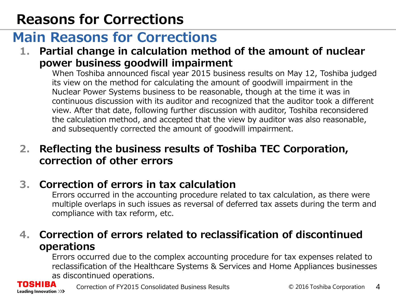## **Reasons for Corrections**

## **Main Reasons for Corrections**

**1. Partial change in calculation method of the amount of nuclear power business goodwill impairment**

When Toshiba announced fiscal year 2015 business results on May 12, Toshiba judged its view on the method for calculating the amount of goodwill impairment in the Nuclear Power Systems business to be reasonable, though at the time it was in continuous discussion with its auditor and recognized that the auditor took a different view. After that date, following further discussion with auditor, Toshiba reconsidered the calculation method, and accepted that the view by auditor was also reasonable, and subsequently corrected the amount of goodwill impairment.

#### **2. Reflecting the business results of Toshiba TEC Corporation, correction of other errors**

#### **3. Correction of errors in tax calculation**

Errors occurred in the accounting procedure related to tax calculation, as there were multiple overlaps in such issues as reversal of deferred tax assets during the term and compliance with tax reform, etc.

#### **4. Correction of errors related to reclassification of discontinued operations**

Errors occurred due to the complex accounting procedure for tax expenses related to reclassification of the Healthcare Systems & Services and Home Appliances businesses as discontinued operations.

SHIBA Leading Innovation >>>

Correction of FY2015 Consolidated Business Results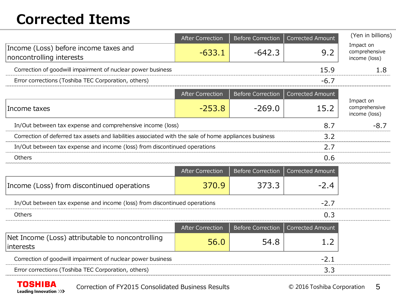## **Corrected Items**

|                                                                                                               | <b>After Correction</b> | <b>Before Correction</b> | Corrected Amount        | (Yen in billions)                           |  |
|---------------------------------------------------------------------------------------------------------------|-------------------------|--------------------------|-------------------------|---------------------------------------------|--|
| Income (Loss) before income taxes and<br>noncontrolling interests                                             | $-633.1$                | $-642.3$                 | 9.2                     | Impact on<br>comprehensive<br>income (loss) |  |
| Correction of goodwill impairment of nuclear power business                                                   |                         |                          | 15.9                    | 1.8                                         |  |
| Error corrections (Toshiba TEC Corporation, others)                                                           |                         |                          | $-6.7$                  |                                             |  |
|                                                                                                               | <b>After Correction</b> | <b>Before Correction</b> | <b>Corrected Amount</b> |                                             |  |
| Income taxes                                                                                                  | $-253.8$                | $-269.0$                 | 15.2                    | Impact on<br>comprehensive<br>income (loss) |  |
| In/Out between tax expense and comprehensive income (loss)<br>8.7                                             |                         |                          |                         |                                             |  |
| Correction of deferred tax assets and liabilities associated with the sale of home appliances business<br>3.2 |                         |                          |                         |                                             |  |
| In/Out between tax expense and income (loss) from discontinued operations                                     | 2.7                     |                          |                         |                                             |  |
| Others                                                                                                        |                         |                          | 0.6                     |                                             |  |
|                                                                                                               | <b>After Correction</b> | <b>Before Correction</b> | <b>Corrected Amount</b> |                                             |  |
| Income (Loss) from discontinued operations                                                                    | 370.9                   | 373.3                    | $-2.4$                  |                                             |  |
| In/Out between tax expense and income (loss) from discontinued operations                                     | $-2.7$                  |                          |                         |                                             |  |
| Others                                                                                                        | 0.3                     |                          |                         |                                             |  |
|                                                                                                               | <b>After Correction</b> | <b>Before Correction</b> | <b>Corrected Amount</b> |                                             |  |
| Net Income (Loss) attributable to noncontrolling<br>interests                                                 | 56.0                    | 54.8                     | 1.2                     |                                             |  |
| Correction of goodwill impairment of nuclear power business                                                   |                         |                          | $-2.1$                  |                                             |  |
| Error corrections (Toshiba TEC Corporation, others)                                                           |                         |                          | 3.3                     |                                             |  |
|                                                                                                               |                         |                          |                         |                                             |  |

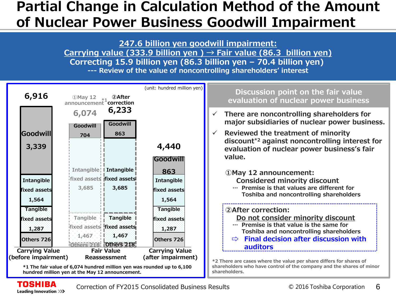### **Partial Change in Calculation Method of the Amount of Nuclear Power Business Goodwill Impairment**

**247.6 billion yen goodwill impairment:**

**Carrying value (333.9 billion yen ) → Fair value (86.3 billion yen) Correcting 15.9 billion yen (86.3 billion yen – 70.4 billion yen)** 

**--- Review of the value of noncontrolling shareholders' interest**



**\*1 The fair value of 6,074 hundred million yen was rounded up to 6,100 hundred million yen at the May 12 announcement.** 

**shareholders who have control of the company and the shares of minor shareholders.**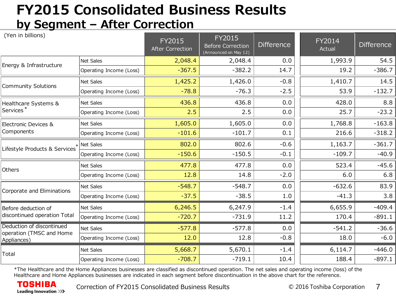## **FY2015 Consolidated Business Results by Segment – After Correction**

| (Yen in billions)                                                    |                         | FY2015<br><b>After Correction</b> | FY2015<br><b>Before Correction</b><br>(Announced on May 12) | <b>Difference</b> | FY2014<br>Actual | <b>Difference</b> |
|----------------------------------------------------------------------|-------------------------|-----------------------------------|-------------------------------------------------------------|-------------------|------------------|-------------------|
| Energy & Infrastructure                                              | Net Sales               | 2,048.4                           | 2,048.4                                                     | 0.0               | 1,993.9          | 54.5              |
|                                                                      | Operating Income (Loss) | $-367.5$                          | $-382.2$                                                    | 14.7              | 19.2             | $-386.7$          |
| <b>Community Solutions</b>                                           | Net Sales               | 1,425.2                           | 1,426.0                                                     | $-0.8$            | 1,410.7          | 14.5              |
|                                                                      | Operating Income (Loss) | $-78.8$                           | $-76.3$                                                     | $-2.5$            | 53.9             | $-132.7$          |
| Healthcare Systems &<br>Services <sup>*</sup>                        | Net Sales               | 436.8                             | 436.8                                                       | 0.0               | 428.0            | 8.8               |
|                                                                      | Operating Income (Loss) | 2.5                               | 2.5                                                         | 0.0               | 25.7             | $-23.2$           |
| Electronic Devices &<br>Components                                   | Net Sales               | 1,605.0                           | 1,605.0                                                     | 0.0               | 1,768.8          | $-163.8$          |
|                                                                      | Operating Income (Loss) | $-101.6$                          | $-101.7$                                                    | 0.1               | 216.6            | $-318.2$          |
| Lifestyle Products & Services                                        | Net Sales               | 802.0                             | 802.6                                                       | $-0.6$            | 1,163.7          | $-361.7$          |
|                                                                      | Operating Income (Loss) | $-150.6$                          | $-150.5$                                                    | $-0.1$            | $-109.7$         | $-40.9$           |
| Others                                                               | <b>Net Sales</b>        | 477.8                             | 477.8                                                       | 0.0               | 523.4            | $-45.6$           |
|                                                                      | Operating Income (Loss) | 12.8                              | 14.8                                                        | $-2.0$            | 6.0              | 6.8               |
| Corporate and Eliminations                                           | Net Sales               | $-548.7$                          | $-548.7$                                                    | 0.0               | $-632.6$         | 83.9              |
|                                                                      | Operating Income (Loss) | $-37.5$                           | $-38.5$                                                     | 1.0               | $-41.3$          | 3.8               |
| Before deduction of<br>discontinued operation Total                  | Net Sales               | 6,246.5                           | 6,247.9                                                     | $-1.4$            | 6,655.9          | $-409.4$          |
|                                                                      | Operating Income (Loss) | $-720.7$                          | $-731.9$                                                    | 11.2              | 170.4            | $-891.1$          |
| Deduction of discontinued<br>operation (TMSC and Home<br>Appliances) | Net Sales               | $-577.8$                          | $-577.8$                                                    | 0.0               | $-541.2$         | $-36.6$           |
|                                                                      | Operating Income (Loss) | 12.0                              | 12.8                                                        | $-0.8$            | 18.0             | $-6.0$            |
| Total                                                                | Net Sales               | 5,668.7                           | 5,670.1                                                     | $-1.4$            | 6,114.7          | $-446.0$          |
|                                                                      | Operating Income (Loss) | $-708.7$                          | $-719.1$                                                    | 10.4              | 188.4            | $-897.1$          |

\*The Healthcare and the Home Appliances businesses are classified as discontinued operation. The net sales and operating income (loss) of the Healthcare and Home Appliances businesses are indicated in each segment before discontinuation in the above chart for the reference.